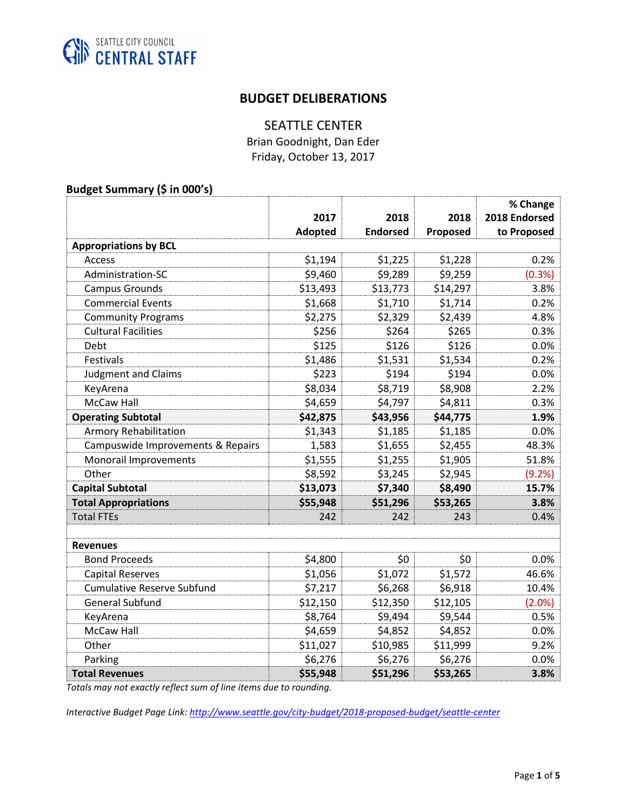

## **BUDGET DELIBERATIONS**

# SEATTLE CENTER

Brian Goodnight, Dan Eder Friday, October 13, 2017

### **Budget Summary (\$ in 000's)**

|                                   |          |                 |          | % Change      |
|-----------------------------------|----------|-----------------|----------|---------------|
|                                   | 2017     | 2018            | 2018     | 2018 Endorsed |
|                                   | Adopted  | <b>Endorsed</b> | Proposed | to Proposed   |
| <b>Appropriations by BCL</b>      |          |                 |          |               |
| <b>Access</b>                     | \$1,194  | \$1,225         | \$1,228  | 0.2%          |
| Administration-SC                 | \$9,460  | \$9,289         | \$9,259  | (0.3%)        |
| <b>Campus Grounds</b>             | \$13,493 | \$13,773        | \$14,297 | 3.8%          |
| <b>Commercial Events</b>          | \$1,668  | \$1,710         | \$1,714  | 0.2%          |
| <b>Community Programs</b>         | \$2,275  | \$2,329         | \$2,439  | 4.8%          |
| <b>Cultural Facilities</b>        | \$256    | \$264           | \$265    | 0.3%          |
| Debt                              | \$125    | \$126           | \$126    | 0.0%          |
| <b>Festivals</b>                  | \$1,486  | \$1,531         | \$1,534  | 0.2%          |
| <b>Judgment and Claims</b>        | \$223    | \$194           | \$194    | 0.0%          |
| KeyArena                          | \$8,034  | \$8,719         | \$8,908  | 2.2%          |
| <b>McCaw Hall</b>                 | \$4,659  | \$4,797         | \$4,811  | 0.3%          |
| <b>Operating Subtotal</b>         | \$42,875 | \$43,956        | \$44,775 | 1.9%          |
| <b>Armory Rehabilitation</b>      | \$1,343  | \$1,185         | \$1,185  | 0.0%          |
| Campuswide Improvements & Repairs | 1,583    | \$1,655         | \$2,455  | 48.3%         |
| Monorail Improvements             | \$1,555  | \$1,255         | \$1,905  | 51.8%         |
| Other                             | \$8,592  | \$3,245         | \$2,945  | (9.2%)        |
| <b>Capital Subtotal</b>           | \$13,073 | \$7,340         | \$8,490  | 15.7%         |
| <b>Total Appropriations</b>       | \$55,948 | \$51,296        | \$53,265 | 3.8%          |
| <b>Total FTEs</b>                 | 242      | 242             | 243      | 0.4%          |
|                                   |          |                 |          |               |
| <b>Revenues</b>                   |          |                 |          |               |
| <b>Bond Proceeds</b>              | \$4,800  | \$0             | \$0      | 0.0%          |
| <b>Capital Reserves</b>           | \$1,056  | \$1,072         | \$1,572  | 46.6%         |
| <b>Cumulative Reserve Subfund</b> | \$7,217  | \$6,268         | \$6,918  | 10.4%         |
| <b>General Subfund</b>            | \$12,150 | \$12,350        | \$12,105 | (2.0%)        |
| KeyArena                          | \$8,764  | \$9,494         | \$9,544  | 0.5%          |
| <b>McCaw Hall</b>                 | \$4,659  | \$4,852         | \$4,852  | 0.0%          |
| Other                             | \$11,027 | \$10,985        | \$11,999 | 9.2%          |
| Parking                           | \$6,276  | \$6,276         | \$6,276  | 0.0%          |
| <b>Total Revenues</b>             | \$55,948 | \$51,296        | \$53,265 | 3.8%          |

*Totals may not exactly reflect sum of line items due to rounding.* 

*Interactive Budget Page Link: <http://www.seattle.gov/city-budget/2018-proposed-budget/seattle-center>*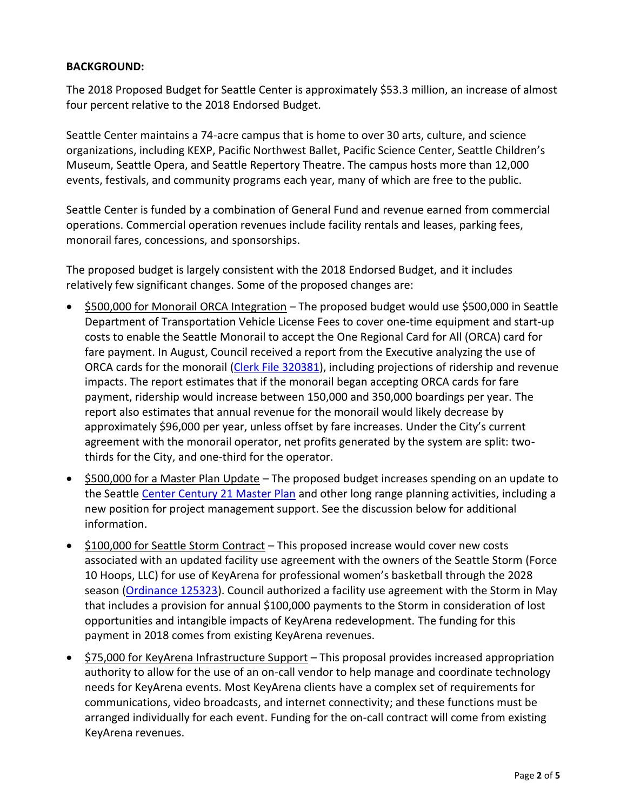### **BACKGROUND:**

The 2018 Proposed Budget for Seattle Center is approximately \$53.3 million, an increase of almost four percent relative to the 2018 Endorsed Budget.

Seattle Center maintains a 74-acre campus that is home to over 30 arts, culture, and science organizations, including KEXP, Pacific Northwest Ballet, Pacific Science Center, Seattle Children's Museum, Seattle Opera, and Seattle Repertory Theatre. The campus hosts more than 12,000 events, festivals, and community programs each year, many of which are free to the public.

Seattle Center is funded by a combination of General Fund and revenue earned from commercial operations. Commercial operation revenues include facility rentals and leases, parking fees, monorail fares, concessions, and sponsorships.

The proposed budget is largely consistent with the 2018 Endorsed Budget, and it includes relatively few significant changes. Some of the proposed changes are:

- \$500,000 for Monorail ORCA Integration The proposed budget would use \$500,000 in Seattle Department of Transportation Vehicle License Fees to cover one-time equipment and start-up costs to enable the Seattle Monorail to accept the One Regional Card for All (ORCA) card for fare payment. In August, Council received a report from the Executive analyzing the use of ORCA cards for the monorail [\(Clerk File 320381\)](http://clerk.seattle.gov/~scripts/nph-brs.exe?s1=&s3=320381&s2=&s4=&Sect4=AND&l=200&Sect2=THESON&Sect3=PLURON&Sect5=CFCF1&Sect6=HITOFF&d=CFCF&p=1&u=%2F%7Epublic%2Fcfcf1.htm&r=1&f=G), including projections of ridership and revenue impacts. The report estimates that if the monorail began accepting ORCA cards for fare payment, ridership would increase between 150,000 and 350,000 boardings per year. The report also estimates that annual revenue for the monorail would likely decrease by approximately \$96,000 per year, unless offset by fare increases. Under the City's current agreement with the monorail operator, net profits generated by the system are split: twothirds for the City, and one-third for the operator.
- \$500,000 for a Master Plan Update The proposed budget increases spending on an update to the Seattle [Center Century 21 Master Plan](http://www.seattlecenter.com/mediainfo/topics/century21.aspx) and other long range planning activities, including a new position for project management support. See the discussion below for additional information.
- \$100,000 for Seattle Storm Contract This proposed increase would cover new costs associated with an updated facility use agreement with the owners of the Seattle Storm (Force 10 Hoops, LLC) for use of KeyArena for professional women's basketball through the 2028 season [\(Ordinance 125323\)](http://seattle.legistar.com/LegislationDetail.aspx?ID=3046772&GUID=6559EBFA-CB8A-4694-996E-807C50169D62&Options=Advanced&Search=). Council authorized a facility use agreement with the Storm in May that includes a provision for annual \$100,000 payments to the Storm in consideration of lost opportunities and intangible impacts of KeyArena redevelopment. The funding for this payment in 2018 comes from existing KeyArena revenues.
- \$75,000 for KeyArena Infrastructure Support This proposal provides increased appropriation authority to allow for the use of an on-call vendor to help manage and coordinate technology needs for KeyArena events. Most KeyArena clients have a complex set of requirements for communications, video broadcasts, and internet connectivity; and these functions must be arranged individually for each event. Funding for the on-call contract will come from existing KeyArena revenues.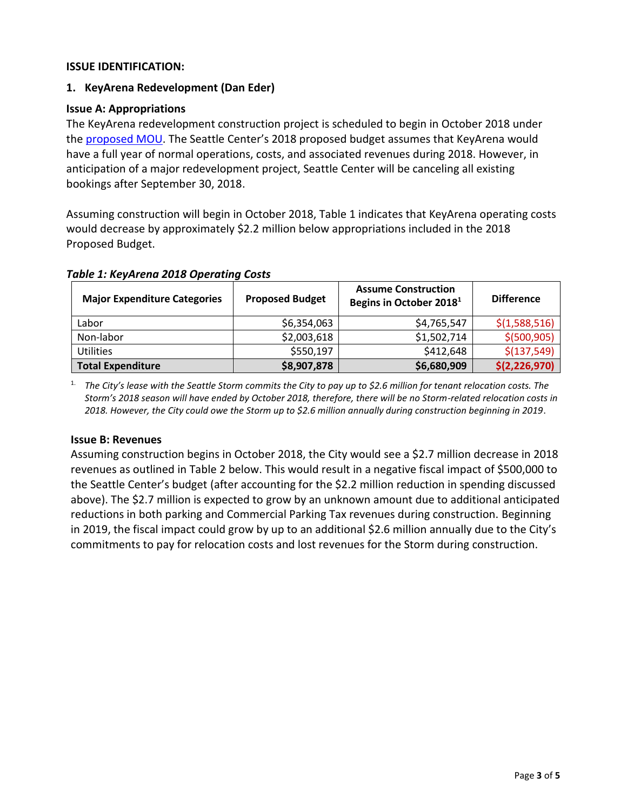### **ISSUE IDENTIFICATION:**

### **1. KeyArena Redevelopment (Dan Eder)**

#### **Issue A: Appropriations**

The KeyArena redevelopment construction project is scheduled to begin in October 2018 under the [proposed MOU](http://seattle.legistar.com/gateway.aspx?M=F&ID=9bd0b511-d2b2-492c-9e6d-854af4ddab31.docx). The Seattle Center's 2018 proposed budget assumes that KeyArena would have a full year of normal operations, costs, and associated revenues during 2018. However, in anticipation of a major redevelopment project, Seattle Center will be canceling all existing bookings after September 30, 2018.

Assuming construction will begin in October 2018, Table 1 indicates that KeyArena operating costs would decrease by approximately \$2.2 million below appropriations included in the 2018 Proposed Budget.

| <b>Major Expenditure Categories</b> | <b>Proposed Budget</b> | <b>Assume Construction</b><br>Begins in October 2018 <sup>1</sup> | <b>Difference</b> |
|-------------------------------------|------------------------|-------------------------------------------------------------------|-------------------|
| Labor                               | \$6,354,063            | \$4,765,547                                                       | \$(1,588,516)     |
| Non-labor                           | \$2,003,618            | \$1,502,714                                                       | \$ (500, 905)     |
| <b>Utilities</b>                    | \$550,197              | \$412,648                                                         | \$(137,549)       |
| <b>Total Expenditure</b>            | \$8,907,878            | \$6,680,909                                                       | \$(2, 226, 970)   |

#### *Table 1: KeyArena 2018 Operating Costs*

1. *The City's lease with the Seattle Storm commits the City to pay up to \$2.6 million for tenant relocation costs. The Storm's 2018 season will have ended by October 2018, therefore, there will be no Storm-related relocation costs in 2018. However, the City could owe the Storm up to \$2.6 million annually during construction beginning in 2019*.

#### **Issue B: Revenues**

Assuming construction begins in October 2018, the City would see a \$2.7 million decrease in 2018 revenues as outlined in Table 2 below. This would result in a negative fiscal impact of \$500,000 to the Seattle Center's budget (after accounting for the \$2.2 million reduction in spending discussed above). The \$2.7 million is expected to grow by an unknown amount due to additional anticipated reductions in both parking and Commercial Parking Tax revenues during construction. Beginning in 2019, the fiscal impact could grow by up to an additional \$2.6 million annually due to the City's commitments to pay for relocation costs and lost revenues for the Storm during construction.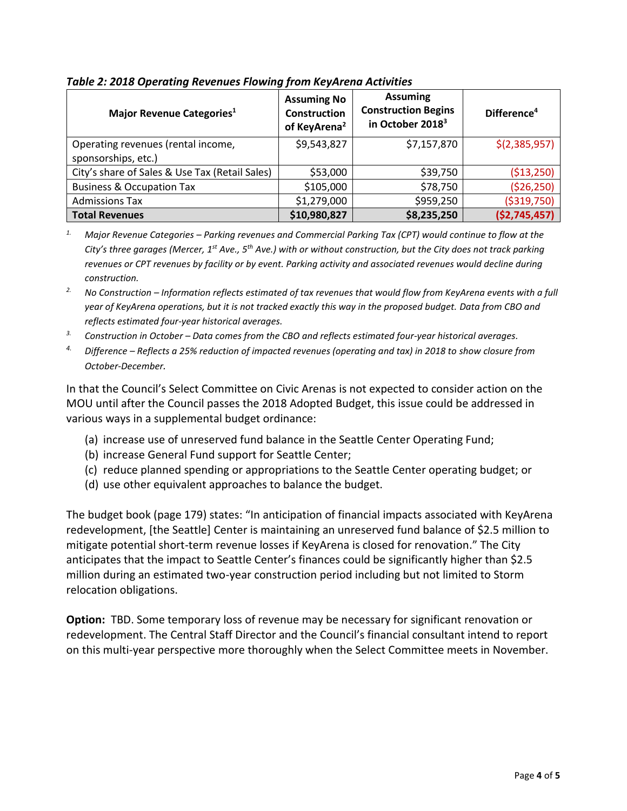| Major Revenue Categories <sup>1</sup>                     | <b>Assuming No</b><br><b>Construction</b><br>of KeyArena <sup>2</sup> | <b>Assuming</b><br><b>Construction Begins</b><br>in October 2018 <sup>3</sup> | Difference <sup>4</sup> |
|-----------------------------------------------------------|-----------------------------------------------------------------------|-------------------------------------------------------------------------------|-------------------------|
| Operating revenues (rental income,<br>sponsorships, etc.) | \$9,543,827                                                           | \$7,157,870                                                                   | \$(2,385,957)           |
| City's share of Sales & Use Tax (Retail Sales)            | \$53,000                                                              | \$39,750                                                                      | ( \$13,250)             |
| <b>Business &amp; Occupation Tax</b>                      | \$105,000                                                             | \$78,750                                                                      | ( \$26, 250)            |
| <b>Admissions Tax</b>                                     | \$1,279,000                                                           | \$959,250                                                                     | ( \$319,750)            |
| <b>Total Revenues</b>                                     | \$10,980,827                                                          | \$8,235,250                                                                   | (52, 745, 457)          |

*Table 2: 2018 Operating Revenues Flowing from KeyArena Activities*

*1. Major Revenue Categories – Parking revenues and Commercial Parking Tax (CPT) would continue to flow at the City's three garages (Mercer, 1st Ave., 5th Ave.) with or without construction, but the City does not track parking revenues or CPT revenues by facility or by event. Parking activity and associated revenues would decline during construction.*

*2. No Construction – Information reflects estimated of tax revenues that would flow from KeyArena events with a full year of KeyArena operations, but it is not tracked exactly this way in the proposed budget. Data from CBO and reflects estimated four-year historical averages.*

*3. Construction in October – Data comes from the CBO and reflects estimated four-year historical averages.*

*4. Difference – Reflects a 25% reduction of impacted revenues (operating and tax) in 2018 to show closure from October-December.*

In that the Council's Select Committee on Civic Arenas is not expected to consider action on the MOU until after the Council passes the 2018 Adopted Budget, this issue could be addressed in various ways in a supplemental budget ordinance:

- (a) increase use of unreserved fund balance in the Seattle Center Operating Fund;
- (b) increase General Fund support for Seattle Center;
- (c) reduce planned spending or appropriations to the Seattle Center operating budget; or
- (d) use other equivalent approaches to balance the budget.

The budget book (page 179) states: "In anticipation of financial impacts associated with KeyArena redevelopment, [the Seattle] Center is maintaining an unreserved fund balance of \$2.5 million to mitigate potential short-term revenue losses if KeyArena is closed for renovation." The City anticipates that the impact to Seattle Center's finances could be significantly higher than \$2.5 million during an estimated two-year construction period including but not limited to Storm relocation obligations.

**Option:** TBD. Some temporary loss of revenue may be necessary for significant renovation or redevelopment. The Central Staff Director and the Council's financial consultant intend to report on this multi-year perspective more thoroughly when the Select Committee meets in November.